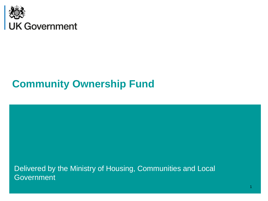

# **Community Ownership Fund**

Delivered by the Ministry of Housing, Communities and Local **Government**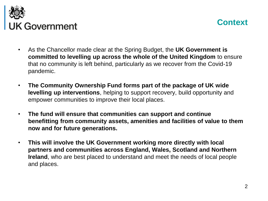



- As the Chancellor made clear at the Spring Budget, the **UK Government is committed to levelling up across the whole of the United Kingdom** to ensure that no community is left behind, particularly as we recover from the Covid-19 pandemic.
- **The Community Ownership Fund forms part of the package of UK wide levelling up interventions**, helping to support recovery, build opportunity and empower communities to improve their local places.
- **The fund will ensure that communities can support and continue benefitting from community assets, amenities and facilities of value to them now and for future generations.**
- **This will involve the UK Government working more directly with local partners and communities across England, Wales, Scotland and Northern Ireland**, who are best placed to understand and meet the needs of local people and places.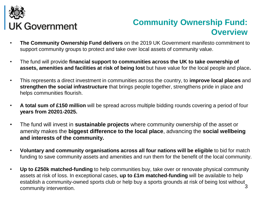

## **Community Ownership Fund: Overview**

- **The Community Ownership Fund delivers** on the 2019 UK Government manifesto commitment to support community groups to protect and take over local assets of community value.
- The fund will provide **financial support to communities across the UK to take ownership of assets, amenities and facilities at risk of being lost** but have value for the local people and place**.**
- This represents a direct investment in communities across the country, to **improve local places** and **strengthen the social infrastructure** that brings people together, strengthens pride in place and helps communities flourish.
- **A total sum of £150 million** will be spread across multiple bidding rounds covering a period of four **years from 20201-2025.**
- The fund will invest in **sustainable projects** where community ownership of the asset or amenity makes the **biggest difference to the local place**, advancing the **social wellbeing and interests of the community.**
- **Voluntary and community organisations across all four nations will be eligible** to bid for match funding to save community assets and amenities and run them for the benefit of the local community.
- 3 • **Up to £250k matched-funding** to help communities buy, take over or renovate physical community assets at risk of loss. In exceptional cases, **up to £1m matched-funding** will be available to help establish a community-owned sports club or help buy a sports grounds at risk of being lost without community intervention.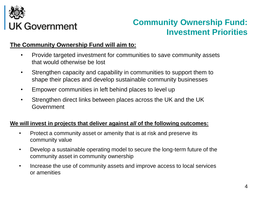

### **Community Ownership Fund: Investment Priorities**

### **The Community Ownership Fund will aim to:**

- Provide targeted investment for communities to save community assets that would otherwise be lost
- Strengthen capacity and capability in communities to support them to shape their places and develop sustainable community businesses
- Empower communities in left behind places to level up
- Strengthen direct links between places across the UK and the UK Government

#### **We will invest in projects that deliver against** *all* **of the following outcomes:**

- Protect a community asset or amenity that is at risk and preserve its community value
- Develop a sustainable operating model to secure the long-term future of the community asset in community ownership
- Increase the use of community assets and improve access to local services or amenities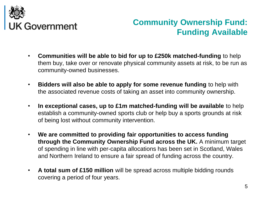

## **Community Ownership Fund: Funding Available**

- **Communities will be able to bid for up to £250k matched-funding** to help them buy, take over or renovate physical community assets at risk, to be run as community-owned businesses.
- **Bidders will also be able to apply for some revenue funding** to help with the associated revenue costs of taking an asset into community ownership.
- **In exceptional cases, up to £1m matched-funding will be available** to help establish a community-owned sports club or help buy a sports grounds at risk of being lost without community intervention.
- **We are committed to providing fair opportunities to access funding through the Community Ownership Fund across the UK.** A minimum target of spending in line with per-capita allocations has been set in Scotland, Wales and Northern Ireland to ensure a fair spread of funding across the country.
- **A total sum of £150 million** will be spread across multiple bidding rounds covering a period of four years.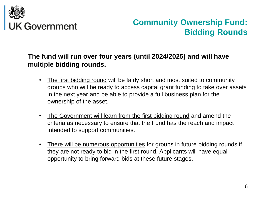

## **Community Ownership Fund: Bidding Rounds**

### **The fund will run over four years (until 2024/2025) and will have multiple bidding rounds.**

- The first bidding round will be fairly short and most suited to community groups who will be ready to access capital grant funding to take over assets in the next year and be able to provide a full business plan for the ownership of the asset.
- The Government will learn from the first bidding round and amend the criteria as necessary to ensure that the Fund has the reach and impact intended to support communities.
- There will be numerous opportunities for groups in future bidding rounds if they are not ready to bid in the first round. Applicants will have equal opportunity to bring forward bids at these future stages.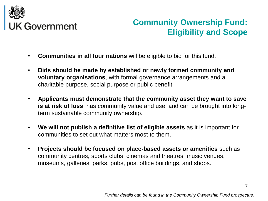

## **Community Ownership Fund: Eligibility and Scope**

- **Communities in all four nations** will be eligible to bid for this fund.
- **Bids should be made by established or newly formed community and voluntary organisations**, with formal governance arrangements and a charitable purpose, social purpose or public benefit.
- **Applicants must demonstrate that the community asset they want to save is at risk of loss**, has community value and use, and can be brought into longterm sustainable community ownership.
- **We will not publish a definitive list of eligible assets** as it is important for communities to set out what matters most to them.
- **Projects should be focused on place-based assets or amenities** such as community centres, sports clubs, cinemas and theatres, music venues, museums, galleries, parks, pubs, post office buildings, and shops.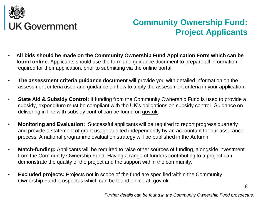

## **Community Ownership Fund: Project Applicants**

- **All bids should be made on the Community Ownership Fund Application Form which can be found online.** Applicants should use the form and guidance document to prepare all information required for their application, prior to submitting via the online portal.
- **The assessment criteria guidance document** will provide you with detailed information on the assessment criteria used and guidance on how to apply the assessment criteria in your application.
- **State Aid & Subsidy Control:** If funding from the Community Ownership Fund is used to provide a subsidy, expenditure must be compliant with the UK's obligations on subsidy control. Guidance on delivering in line with subsidy control can be found on gov.uk.
- **Monitoring and Evaluation:** Successful applicants will be required to report progress quarterly and provide a statement of grant usage audited independently by an accountant for our assurance process. A national programme evaluation strategy will be published in the Autumn.
- **Match-funding:** Applicants will be required to raise other sources of funding, alongside investment from the Community Ownership Fund. Having a range of funders contributing to a project can demonstrate the quality of the project and the support within the community.
- **Excluded projects:** Projects not in scope of the fund are specified within the Community Ownership Fund prospectus which can be found online at .gov.uk .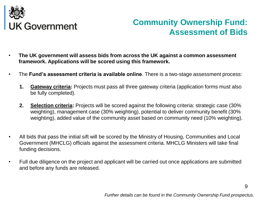

### **Community Ownership Fund: Assessment of Bids**

- **The UK government will assess bids from across the UK against a common assessment framework. Applications will be scored using this framework.**
- The **Fund's assessment criteria is available online**. There is a two-stage assessment process:
	- **1. Gateway criteria:** Projects must pass all three gateway criteria (application forms must also be fully completed).
	- **2. Selection criteria:** Projects will be scored against the following criteria: strategic case (30% weighting), management case (30% weighting), potential to deliver community benefit (30% weighting), added value of the community asset based on community need (10% weighting).
- All bids that pass the initial sift will be scored by the Ministry of Housing, Communities and Local Government (MHCLG) officials against the assessment criteria. MHCLG Ministers will take final funding decisions.
- Full due diligence on the project and applicant will be carried out once applications are submitted and before any funds are released.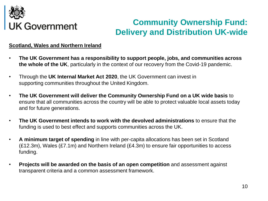

## **Community Ownership Fund: Delivery and Distribution UK-wide**

#### **Scotland, Wales and Northern Ireland**

- **The UK Government has a responsibility to support people, jobs, and communities across the whole of the UK**, particularly in the context of our recovery from the Covid-19 pandemic.
- Through the **UK Internal Market Act 2020**, the UK Government can invest in supporting communities throughout the United Kingdom.
- **The UK Government will deliver the Community Ownership Fund on a UK wide basis** to ensure that all communities across the country will be able to protect valuable local assets today and for future generations.
- **The UK Government intends to work with the devolved administrations** to ensure that the funding is used to best effect and supports communities across the UK.
- **A minimum target of spending** in line with per-capita allocations has been set in Scotland (£12.3m), Wales (£7.1m) and Northern Ireland (£4.3m) to ensure fair opportunities to access funding.
- **Projects will be awarded on the basis of an open competition** and assessment against transparent criteria and a common assessment framework.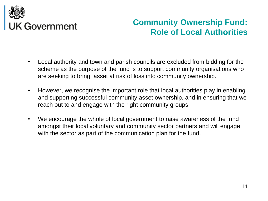

### **Community Ownership Fund: Role of Local Authorities**

- Local authority and town and parish councils are excluded from bidding for the scheme as the purpose of the fund is to support community organisations who are seeking to bring asset at risk of loss into community ownership.
- However, we recognise the important role that local authorities play in enabling and supporting successful community asset ownership, and in ensuring that we reach out to and engage with the right community groups.
- We encourage the whole of local government to raise awareness of the fund amongst their local voluntary and community sector partners and will engage with the sector as part of the communication plan for the fund.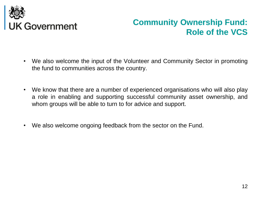

### **Community Ownership Fund: Role of the VCS**

- We also welcome the input of the Volunteer and Community Sector in promoting the fund to communities across the country.
- We know that there are a number of experienced organisations who will also play a role in enabling and supporting successful community asset ownership, and whom groups will be able to turn to for advice and support.
- We also welcome ongoing feedback from the sector on the Fund.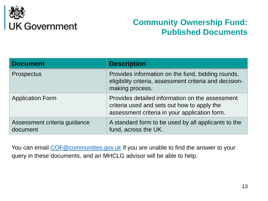

### **Community Ownership Fund: Published Documents**

| <b>Document</b>                          | <b>Description</b>                                                                                                                              |
|------------------------------------------|-------------------------------------------------------------------------------------------------------------------------------------------------|
| <b>Prospectus</b>                        | Provides information on the fund, bidding rounds,<br>eligibility criteria, assessment criteria and decision-<br>making process.                 |
| <b>Application Form</b>                  | Provides detailed information on the assessment<br>criteria used and sets out how to apply the<br>assessment criteria in your application form. |
| Assessment criteria guidance<br>document | A standard form to be used by all applicants to the<br>fund, across the UK.                                                                     |

You can email COF@communities.gov.uk if you are unable to find the answer to your query in these documents, and an MHCLG advisor will be able to help.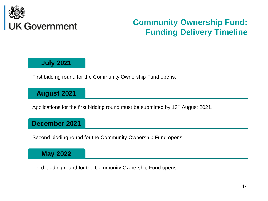

## **Community Ownership Fund: Funding Delivery Timeline**

### **July 2021**

First bidding round for the Community Ownership Fund opens.

### **August 2021**

Applications for the first bidding round must be submitted by 13<sup>th</sup> August 2021.

### **December 2021**

Second bidding round for the Community Ownership Fund opens.

### **May 2022**

Third bidding round for the Community Ownership Fund opens.